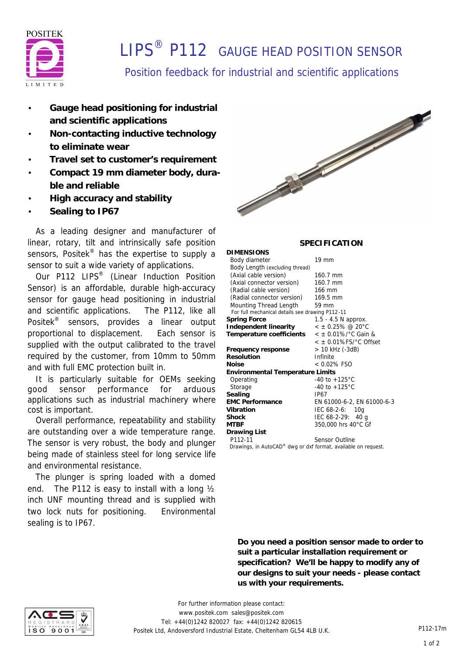

# **I IPS<sup>®</sup> P112** GAUGE HEAD POSITION SENSOR

### Position feedback for industrial and scientific applications

- **Gauge head positioning for industrial and scientific applications**
- **Non-contacting inductive technology to eliminate wear**
- **Travel set to customer's requirement**
- **Compact 19 mm diameter body, durable and reliable**
- **High accuracy and stability**
- **Sealing to IP67**

 As a leading designer and manufacturer of linear, rotary, tilt and intrinsically safe position sensors, Positek<sup>®</sup> has the expertise to supply a sensor to suit a wide variety of applications.

Our P112 LIPS<sup>®</sup> (Linear Induction Position Sensor) is an affordable, durable high-accuracy sensor for gauge head positioning in industrial and scientific applications. The P112, like all Positek® sensors, provides a linear output proportional to displacement. Each sensor is supplied with the output calibrated to the travel required by the customer, from 10mm to 50mm and with full EMC protection built in.

 It is particularly suitable for OEMs seeking good sensor performance for arduous applications such as industrial machinery where cost is important.

 Overall performance, repeatability and stability are outstanding over a wide temperature range. The sensor is very robust, the body and plunger being made of stainless steel for long service life and environmental resistance.

 The plunger is spring loaded with a domed end. The P112 is easy to install with a long ½ inch UNF mounting thread and is supplied with two lock nuts for positioning. Environmental sealing is to IP67.



#### **SPECIFICATION**

**DIMENSIONS** Body diameter 19 mm Body Length (excluding thread) (Axial cable version) 160.7 mm (Axial connector version) 160.7 mm (Radial cable version) 166 mm (Radial connector version) 169.5 mm Mounting Thread Length 59 mm  *For full mechanical details see drawing P112-11* **Spring Force** 1.5 - 4.5 N approx. **Independent linearity** < ± 0.25% @ 20°C **Temperature coefficients** < ± 0.01%/°C Gain & < ± 0.01%FS/°C Offset **Frequency response** > 10 kHz (-3dB) **Resolution** Infinite **Noise** < 0.02% FSO **Environmental Temperature Limits** Operating -40 to +125°C Storage -40 to +125 °C **Sealing** IP67<br> **EMC** Performance EN 6 **EMC Performance** EN 61000-6-2, EN 61000-6-3 **Vibration** IEC 68-2-6: 10g **Shock** IEC 68-2-29: 40 g<br>MTRE 350,000 hrs 40 °C G **MTBF** 350,000 hrs 40°C Gf **Drawing List** P112-11 Sensor Outline  *Drawings, in AutoCAD® dwg or dxf format, available on request.*

**Do you need a position sensor made to order to suit a particular installation requirement or specification? We'll be happy to modify any of our designs to suit your needs - please contact us with your requirements.**